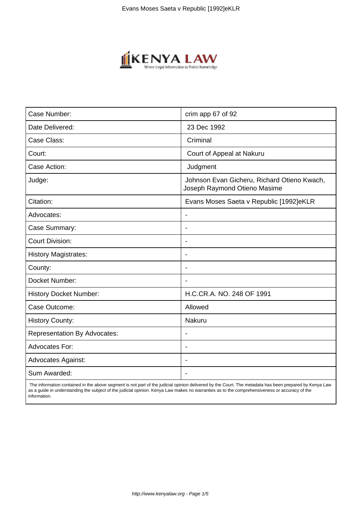

| Case Number:                        | crim app 67 of 92                                                           |
|-------------------------------------|-----------------------------------------------------------------------------|
| Date Delivered:                     | 23 Dec 1992                                                                 |
| Case Class:                         | Criminal                                                                    |
| Court:                              | Court of Appeal at Nakuru                                                   |
| Case Action:                        | Judgment                                                                    |
| Judge:                              | Johnson Evan Gicheru, Richard Otieno Kwach,<br>Joseph Raymond Otieno Masime |
| Citation:                           | Evans Moses Saeta v Republic [1992]eKLR                                     |
| Advocates:                          |                                                                             |
| Case Summary:                       |                                                                             |
| <b>Court Division:</b>              |                                                                             |
| <b>History Magistrates:</b>         | $\blacksquare$                                                              |
| County:                             |                                                                             |
| Docket Number:                      |                                                                             |
| <b>History Docket Number:</b>       | H.C.CR.A. NO. 248 OF 1991                                                   |
| Case Outcome:                       | Allowed                                                                     |
| <b>History County:</b>              | Nakuru                                                                      |
| <b>Representation By Advocates:</b> | $\overline{\phantom{a}}$                                                    |
| Advocates For:                      |                                                                             |
| <b>Advocates Against:</b>           |                                                                             |
| Sum Awarded:                        |                                                                             |

 The information contained in the above segment is not part of the judicial opinion delivered by the Court. The metadata has been prepared by Kenya Law as a guide in understanding the subject of the judicial opinion. Kenya Law makes no warranties as to the comprehensiveness or accuracy of the information.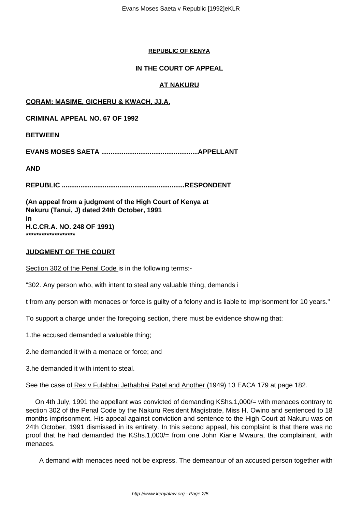#### **REPUBLIC OF KENYA**

# **IN THE COURT OF APPEAL**

# **AT NAKURU**

## **CORAM: MASIME, GICHERU & KWACH, JJ.A.**

**CRIMINAL APPEAL NO. 67 OF 1992**

## **BETWEEN**

**EVANS MOSES SAETA ....................................................APPELLANT**

**AND**

**REPUBLIC ..................................................................RESPONDENT**

**(An appeal from a judgment of the High Court of Kenya at Nakuru (Tanui, J) dated 24th October, 1991 in H.C.CR.A. NO. 248 OF 1991) \*\*\*\*\*\*\*\*\*\*\*\*\*\*\*\*\*\*\***

#### **JUDGMENT OF THE COURT**

Section 302 of the Penal Code is in the following terms:-

"302. Any person who, with intent to steal any valuable thing, demands i

t from any person with menaces or force is guilty of a felony and is liable to imprisonment for 10 years."

To support a charge under the foregoing section, there must be evidence showing that:

1.the accused demanded a valuable thing;

2.he demanded it with a menace or force; and

3.he demanded it with intent to steal.

See the case of Rex v Fulabhai Jethabhai Patel and Another (1949) 13 EACA 179 at page 182.

 On 4th July, 1991 the appellant was convicted of demanding KShs.1,000/= with menaces contrary to section 302 of the Penal Code by the Nakuru Resident Magistrate, Miss H. Owino and sentenced to 18 months imprisonment. His appeal against conviction and sentence to the High Court at Nakuru was on 24th October, 1991 dismissed in its entirety. In this second appeal, his complaint is that there was no proof that he had demanded the KShs.1,000/= from one John Kiarie Mwaura, the complainant, with menaces.

A demand with menaces need not be express. The demeanour of an accused person together with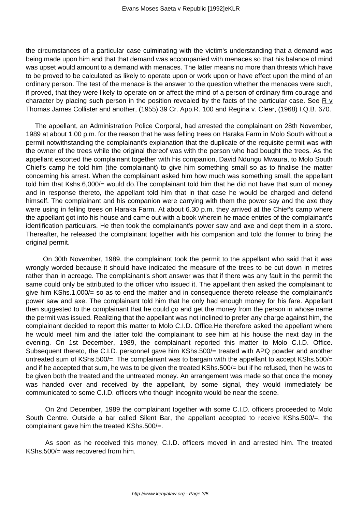the circumstances of a particular case culminating with the victim's understanding that a demand was being made upon him and that that demand was accompanied with menaces so that his balance of mind was upset would amount to a demand with menaces. The latter means no more than threats which have to be proved to be calculated as likely to operate upon or work upon or have effect upon the mind of an ordinary person. The test of the menace is the answer to the question whether the menaces were such, if proved, that they were likely to operate on or affect the mind of a person of ordinary firm courage and character by placing such person in the position revealed by the facts of the particular case. See R  $\vee$ Thomas James Collister and another, (1955) 39 Cr. App.R. 100 and Regina v. Clear, (1968) I.Q.B. 670.

 The appellant, an Administration Police Corporal, had arrested the complainant on 28th November, 1989 at about 1.00 p.m. for the reason that he was felling trees on Haraka Farm in Molo South without a permit notwithstanding the complainant's explanation that the duplicate of the requisite permit was with the owner of the trees while the original thereof was with the person who had bought the trees. As the appellant escorted the complainant together with his companion, David Ndungu Mwaura, to Molo South Chief's camp he told him (the complainant) to give him something small so as to finalise the matter concerning his arrest. When the complainant asked him how much was something small, the appellant told him that Kshs.6,000/= would do.The complainant told him that he did not have that sum of money and in response thereto, the appellant told him that in that case he would be charged and defend himself. The complainant and his companion were carrying with them the power say and the axe they were using in felling trees on Haraka Farm. At about 6.30 p.m. they arrived at the Chief's camp where the appellant got into his house and came out with a book wherein he made entries of the complainant's identification particulars. He then took the complainant's power saw and axe and dept them in a store. Thereafter, he released the complainant together with his companion and told the former to bring the original permit.

 On 30th November, 1989, the complainant took the permit to the appellant who said that it was wrongly worded because it should have indicated the measure of the trees to be cut down in metres rather than in acreage. The complainant's short answer was that if there was any fault in the permit the same could only be attributed to the officer who issued it. The appellant then asked the complainant to give him KShs.1,000/= so as to end the matter and in consequence thereto release the complainant's power saw and axe. The complainant told him that he only had enough money for his fare. Appellant then suggested to the complainant that he could go and get the money from the person in whose name the permit was issued. Realizing that the appellant was not inclined to prefer any charge against him, the complainant decided to report this matter to Molo C.I.D. Office.He therefore asked the appellant where he would meet him and the latter told the complainant to see him at his house the next day in the evening. On 1st December, 1989, the complainant reported this matter to Molo C.I.D. Office. Subsequent thereto, the C.I.D. personnel gave him KShs.500/= treated with APQ powder and another untreated sum of KShs.500/=. The complainant was to bargain with the appellant to accept KShs.500/= and if he accepted that sum, he was to be given the treated KShs.500/= but if he refused, then he was to be given both the treated and the untreated money. An arrangement was made so that once the money was handed over and received by the appellant, by some signal, they would immediately be communicated to some C.I.D. officers who though incognito would be near the scene.

 On 2nd December, 1989 the complainant together with some C.I.D. officers proceeded to Molo South Centre. Outside a bar called Silent Bar, the appellant accepted to receive KShs.500/=. the complainant gave him the treated KShs.500/=.

 As soon as he received this money, C.I.D. officers moved in and arrested him. The treated KShs.500/= was recovered from him.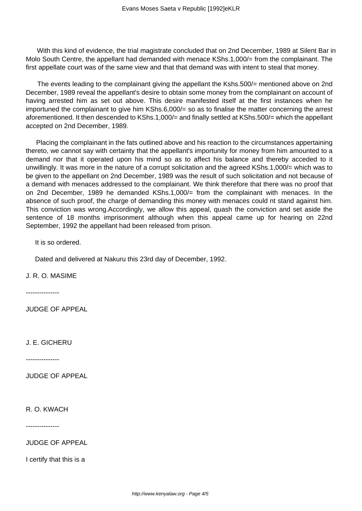With this kind of evidence, the trial magistrate concluded that on 2nd December, 1989 at Silent Bar in Molo South Centre, the appellant had demanded with menace KShs.1,000/= from the complainant. The first appellate court was of the same view and that that demand was with intent to steal that money.

The events leading to the complainant giving the appellant the Kshs.500/= mentioned above on 2nd December, 1989 reveal the appellant's desire to obtain some money from the complainant on account of having arrested him as set out above. This desire manifested itself at the first instances when he importuned the complainant to give him KShs.6,000/= so as to finalise the matter concerning the arrest aforementioned. It then descended to KShs.1,000/= and finally settled at KShs.500/= which the appellant accepted on 2nd December, 1989.

 Placing the complainant in the fats outlined above and his reaction to the circumstances appertaining thereto, we cannot say with certainty that the appellant's importunity for money from him amounted to a demand nor that it operated upon his mind so as to affect his balance and thereby acceded to it unwillingly. It was more in the nature of a corrupt solicitation and the agreed KShs.1,000/= which was to be given to the appellant on 2nd December, 1989 was the result of such solicitation and not because of a demand with menaces addressed to the complainant. We think therefore that there was no proof that on 2nd December, 1989 he demanded KShs.1,000/= from the complainant with menaces. In the absence of such proof, the charge of demanding this money with menaces could nt stand against him. This conviction was wrong.Accordingly, we allow this appeal, quash the conviction and set aside the sentence of 18 months imprisonment although when this appeal came up for hearing on 22nd September, 1992 the appellant had been released from prison.

It is so ordered.

Dated and delivered at Nakuru this 23rd day of December, 1992.

J. R. O. MASIME

---------------

JUDGE OF APPEAL

J. E. GICHERU

---------------

JUDGE OF APPEAL

R. O. KWACH

---------------

JUDGE OF APPEAL

I certify that this is a